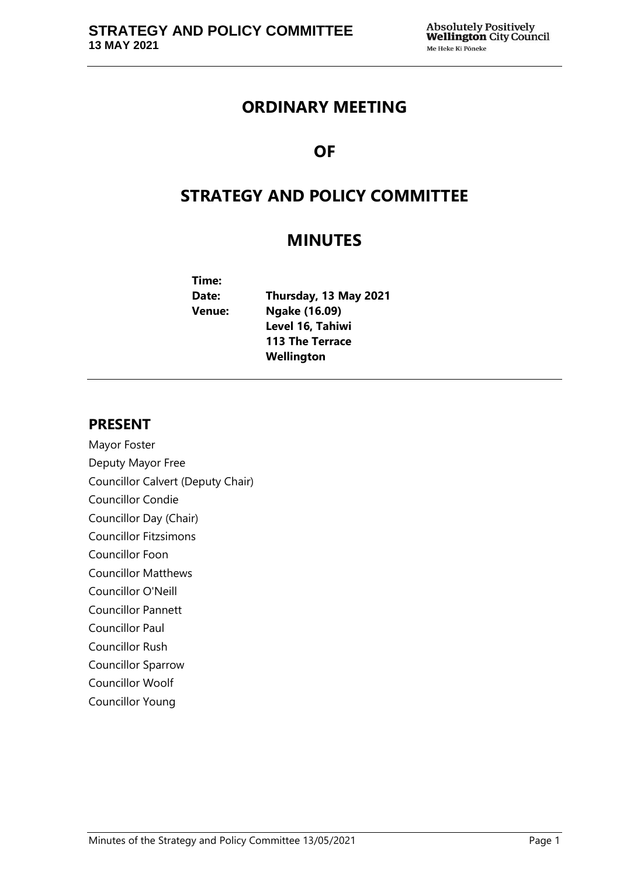## **ORDINARY MEETING**

# **OF**

# **STRATEGY AND POLICY COMMITTEE**

## **MINUTES**

| Time:         |                        |
|---------------|------------------------|
| Date:         | Thursday, 13 May 2021  |
| <b>Venue:</b> | Ngake (16.09)          |
|               | Level 16, Tahiwi       |
|               | <b>113 The Terrace</b> |
|               | Wellington             |

## **PRESENT**

Mayor Foster Deputy Mayor Free Councillor Calvert (Deputy Chair) Councillor Condie Councillor Day (Chair) Councillor Fitzsimons Councillor Foon Councillor Matthews Councillor O'Neill Councillor Pannett Councillor Paul Councillor Rush Councillor Sparrow Councillor Woolf Councillor Young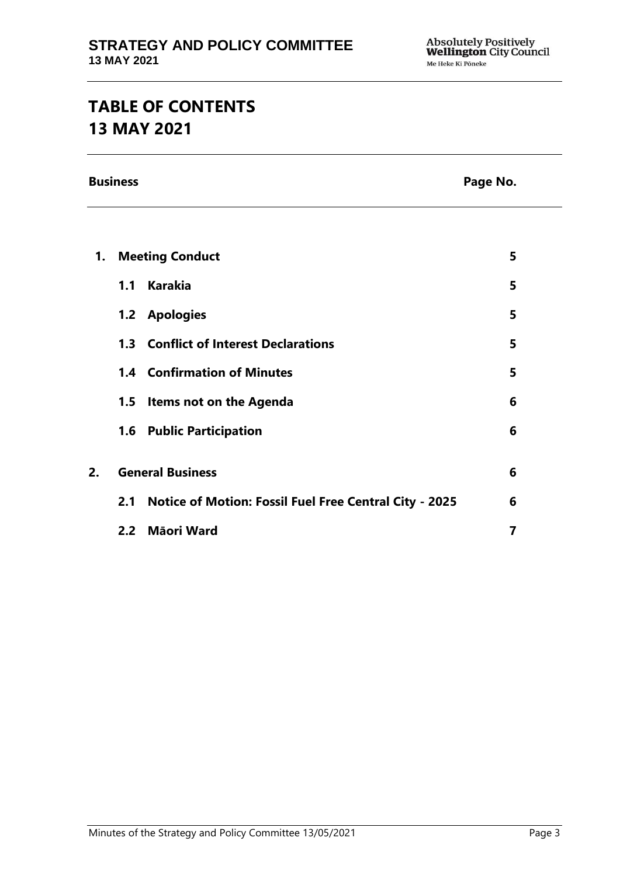# **TABLE OF CONTENTS 13 MAY 2021**

**Business Page No.**

| 1. | <b>Meeting Conduct</b>  |                                                               | 5 |
|----|-------------------------|---------------------------------------------------------------|---|
|    | 1.1                     | <b>Karakia</b>                                                | 5 |
|    |                         | 1.2 Apologies                                                 | 5 |
|    |                         | <b>1.3 Conflict of Interest Declarations</b>                  | 5 |
|    |                         | <b>1.4 Confirmation of Minutes</b>                            | 5 |
|    |                         | 1.5 Items not on the Agenda                                   | 6 |
|    |                         | <b>1.6 Public Participation</b>                               | 6 |
|    |                         |                                                               |   |
| 2. | <b>General Business</b> |                                                               | 6 |
|    | 2.1                     | <b>Notice of Motion: Fossil Fuel Free Central City - 2025</b> | 6 |
|    |                         | 2.2 Māori Ward                                                |   |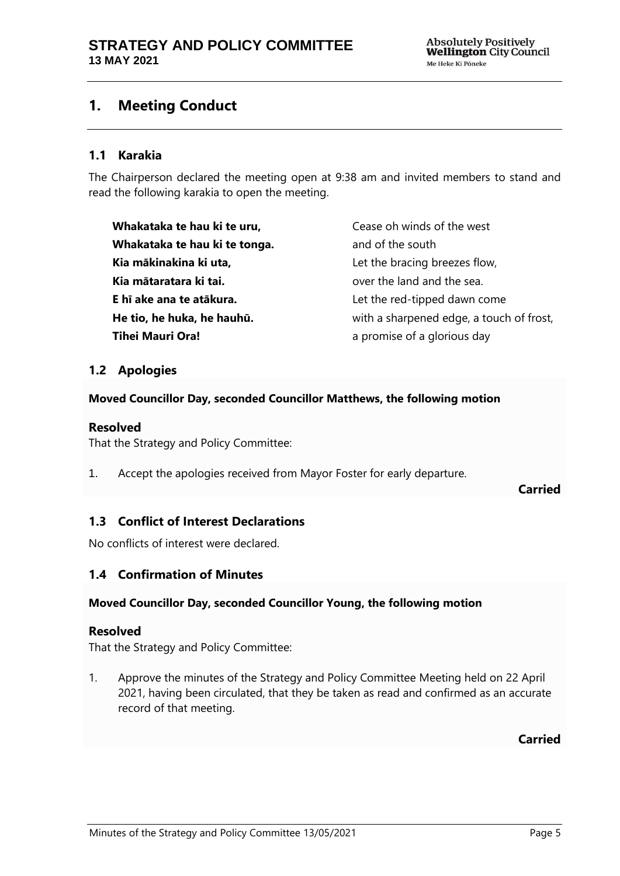## <span id="page-4-0"></span>**1. Meeting Conduct**

### **1.1 Karakia**

The Chairperson declared the meeting open at 9:38 am and invited members to stand and read the following karakia to open the meeting.

**Whakataka te hau ki te uru, Whakataka te hau ki te tonga. Kia mākinakina ki uta, Kia mātaratara ki tai. E hī ake ana te atākura. He tio, he huka, he hauhū. Tihei Mauri Ora!**

Cease oh winds of the west and of the south Let the bracing breezes flow, over the land and the sea. Let the red-tipped dawn come with a sharpened edge, a touch of frost, a promise of a glorious day

## <span id="page-4-1"></span>**1.2 Apologies**

#### **Moved Councillor Day, seconded Councillor Matthews, the following motion**

#### **Resolved**

That the Strategy and Policy Committee:

1. Accept the apologies received from Mayor Foster for early departure.

**Carried**

## <span id="page-4-2"></span>**1.3 Conflict of Interest Declarations**

No conflicts of interest were declared.

### <span id="page-4-3"></span>**1.4 Confirmation of Minutes**

#### **Moved Councillor Day, seconded Councillor Young, the following motion**

#### **Resolved**

That the Strategy and Policy Committee:

1. Approve the minutes of the Strategy and Policy Committee Meeting held on 22 April 2021, having been circulated, that they be taken as read and confirmed as an accurate record of that meeting.

**Carried**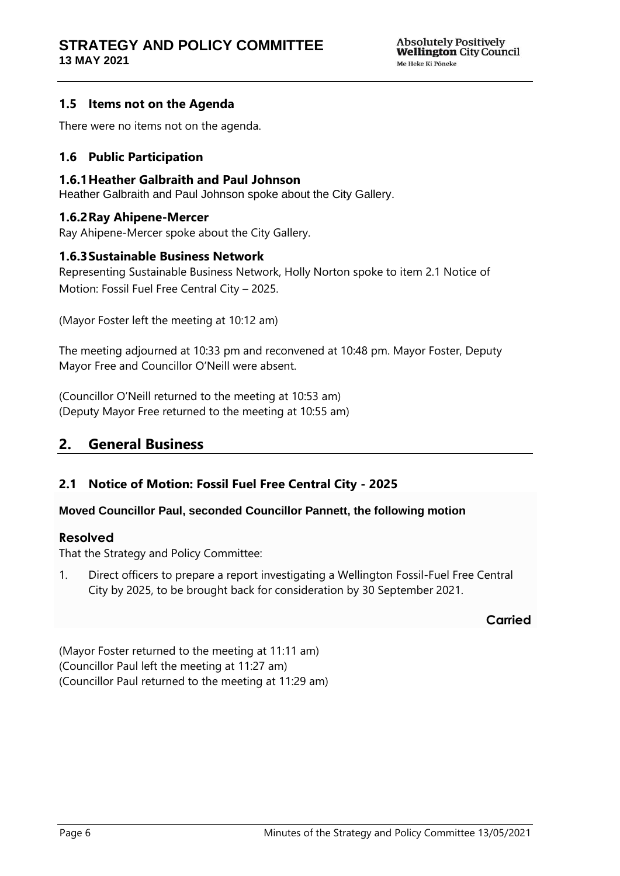## <span id="page-5-0"></span>**1.5 Items not on the Agenda**

There were no items not on the agenda.

## <span id="page-5-1"></span>**1.6 Public Participation**

#### **1.6.1Heather Galbraith and Paul Johnson**

Heather Galbraith and Paul Johnson spoke about the City Gallery.

## **1.6.2Ray Ahipene-Mercer**

Ray Ahipene-Mercer spoke about the City Gallery.

#### **1.6.3Sustainable Business Network**

Representing Sustainable Business Network, Holly Norton spoke to item 2.1 Notice of Motion: Fossil Fuel Free Central City – 2025.

(Mayor Foster left the meeting at 10:12 am)

The meeting adjourned at 10:33 pm and reconvened at 10:48 pm. Mayor Foster, Deputy Mayor Free and Councillor O'Neill were absent.

(Councillor O'Neill returned to the meeting at 10:53 am) (Deputy Mayor Free returned to the meeting at 10:55 am)

## <span id="page-5-2"></span>**2. General Business**

## <span id="page-5-3"></span>**2.1 Notice of Motion: Fossil Fuel Free Central City - 2025**

#### **Moved Councillor Paul, seconded Councillor Pannett, the following motion**

#### **Resolved**

That the Strategy and Policy Committee:

1. Direct officers to prepare a report investigating a Wellington Fossil-Fuel Free Central City by 2025, to be brought back for consideration by 30 September 2021.

### **Carried**

(Mayor Foster returned to the meeting at 11:11 am) (Councillor Paul left the meeting at 11:27 am) (Councillor Paul returned to the meeting at 11:29 am)